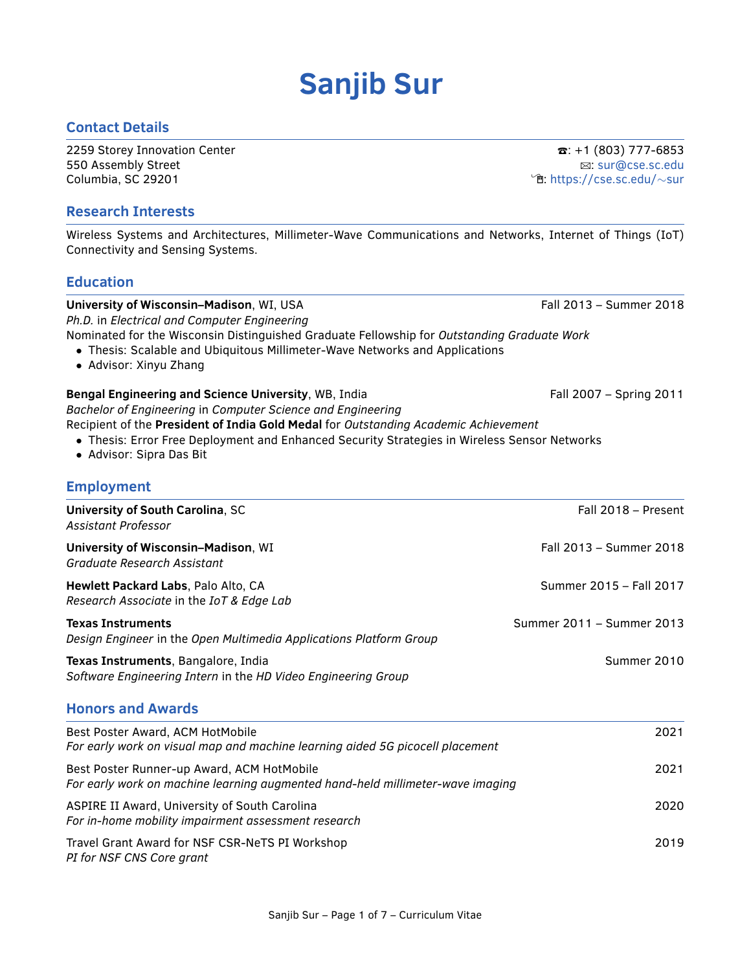# **Sanjib Sur**

#### **Contact Details**

2259 Storey Innovation Center T:  $\mathbf{a}$ : +1 (803) 777-6853 550 Assembly Street B: [sur@cse.sc.edu](mailto:sur@cse.sc.edu) Columbia, SC 29201 **intervention in the columbia, SC 29201** intervention in the columbia of the columbia of the columbia of the columbia of the columbia of the columbia of the columbia of the columbia of the columbia of t

#### **Research Interests**

Wireless Systems and Architectures, Millimeter-Wave Communications and Networks, Internet of Things (IoT) Connectivity and Sensing Systems.

#### **Education**

### **University of Wisconsin–Madison**, WI, USA Fall 2013 – Summer 2018 *Ph.D.* in *Electrical and Computer Engineering*

Nominated for the Wisconsin Distinguished Graduate Fellowship for *Outstanding Graduate Work*

- Thesis: Scalable and Ubiquitous Millimeter-Wave Networks and Applications
- Advisor: Xinyu Zhang

#### **Bengal Engineering and Science University**, WB, India **Fall 2007** – Spring 2011

*Bachelor of Engineering* in *Computer Science and Engineering*

Recipient of the **President of India Gold Medal** for *Outstanding Academic Achievement*

- Thesis: Error Free Deployment and Enhanced Security Strategies in Wireless Sensor Networks
- Advisor: Sipra Das Bit

#### **Employment**

| <b>University of South Carolina, SC</b><br>Assistant Professor                                                               | Fall 2018 - Present       |
|------------------------------------------------------------------------------------------------------------------------------|---------------------------|
| University of Wisconsin-Madison, WI<br>Graduate Research Assistant                                                           | Fall 2013 - Summer 2018   |
| Hewlett Packard Labs, Palo Alto, CA<br>Research Associate in the IoT & Edge Lab                                              | Summer 2015 - Fall 2017   |
| <b>Texas Instruments</b><br>Design Engineer in the Open Multimedia Applications Platform Group                               | Summer 2011 - Summer 2013 |
| Texas Instruments, Bangalore, India<br>Software Engineering Intern in the HD Video Engineering Group                         | Summer 2010               |
| <b>Honors and Awards</b>                                                                                                     |                           |
| Best Poster Award, ACM HotMobile<br>For early work on visual map and machine learning aided 5G picocell placement            | 2021                      |
| Best Poster Runner-up Award, ACM HotMobile<br>For early work on machine learning augmented hand-held millimeter-wave imaging | 2021                      |
| ASPIRE II Award, University of South Carolina<br>For in-home mobility impairment assessment research                         | 2020                      |
| Travel Grant Award for NSF CSR-NeTS PI Workshop<br>PI for NSF CNS Core grant                                                 | 2019                      |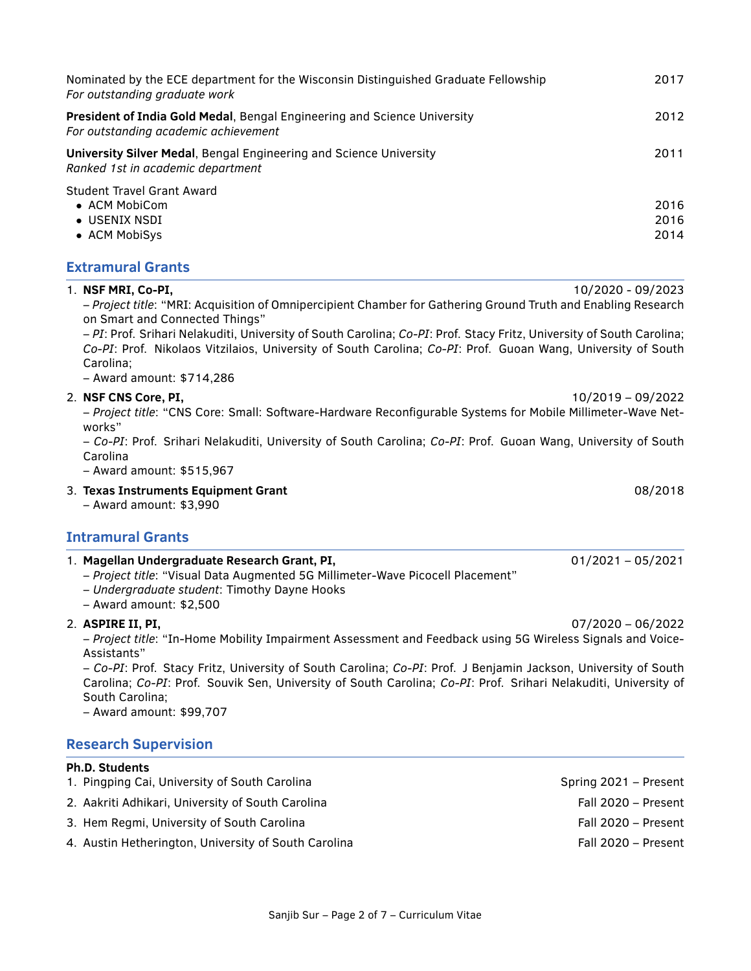| Nominated by the ECE department for the Wisconsin Distinguished Graduate Fellowship<br>For outstanding graduate work    | 2017                 |
|-------------------------------------------------------------------------------------------------------------------------|----------------------|
| <b>President of India Gold Medal, Bengal Engineering and Science University</b><br>For outstanding academic achievement | 2012                 |
| <b>University Silver Medal, Bengal Engineering and Science University</b><br>Ranked 1st in academic department          | 2011                 |
| <b>Student Travel Grant Award</b><br>$\bullet$ ACM MobiCom<br>$\bullet$ USENIX NSDI<br>• ACM MobiSys                    | 2016<br>2016<br>2014 |

1. **NSF MRI, Co-PI,** 10/2020 - 09/2023

#### **Extramural Grants**

|                          | 1. Magellan Undergraduate Research Grant, PI,<br>$01/2021 - 05/2021$                                                                                                                                                                                                                                                                                                                                                               |  |
|--------------------------|------------------------------------------------------------------------------------------------------------------------------------------------------------------------------------------------------------------------------------------------------------------------------------------------------------------------------------------------------------------------------------------------------------------------------------|--|
| <b>Intramural Grants</b> |                                                                                                                                                                                                                                                                                                                                                                                                                                    |  |
|                          | 08/2018<br>3. Texas Instruments Equipment Grant<br>$-$ Award amount: \$3,990                                                                                                                                                                                                                                                                                                                                                       |  |
|                          | - Project title: "CNS Core: Small: Software-Hardware Reconfigurable Systems for Mobile Millimeter-Wave Net-<br>works"<br>- Co-PI: Prof. Srihari Nelakuditi, University of South Carolina; Co-PI: Prof. Guoan Wang, University of South<br>Carolina<br>- Award amount: \$515,967                                                                                                                                                    |  |
|                          | 10/2019 - 09/2022<br>2. NSF CNS Core, PI,                                                                                                                                                                                                                                                                                                                                                                                          |  |
|                          | - Project title: "MRI: Acquisition of Omnipercipient Chamber for Gathering Ground Truth and Enabling Research<br>on Smart and Connected Things"<br>- PI: Prof. Srihari Nelakuditi, University of South Carolina; Co-PI: Prof. Stacy Fritz, University of South Carolina;<br>Co-PI: Prof. Nikolaos Vitzilaios, University of South Carolina; Co-PI: Prof. Guoan Wang, University of South<br>Carolina;<br>- Award amount: \$714,286 |  |

- *Project title*: "Visual Data Augmented 5G Millimeter-Wave Picocell Placement"
- *Undergraduate student*: Timothy Dayne Hooks
- Award amount: \$2,500

#### 2. **ASPIRE II, PI,** 07/2020 – 06/2022

– *Project title*: "In-Home Mobility Impairment Assessment and Feedback using 5G Wireless Signals and Voice-Assistants"

– *Co-PI*: Prof. Stacy Fritz, University of South Carolina; *Co-PI*: Prof. J Benjamin Jackson, University of South Carolina; *Co-PI*: Prof. Souvik Sen, University of South Carolina; *Co-PI*: Prof. Srihari Nelakuditi, University of South Carolina;

– Award amount: \$99,707

#### **Research Supervision**

#### **Ph.D. Students**

- 1. Pingping Cai, University of South Carolina Spring 2021 Present
- 2. Aakriti Adhikari, University of South Carolina Fall 2020 Present
- 3. Hem Regmi, University of South Carolina Fall 2020 Present
- 4. Austin Hetherington, University of South Carolina Fall 2020 Present
- -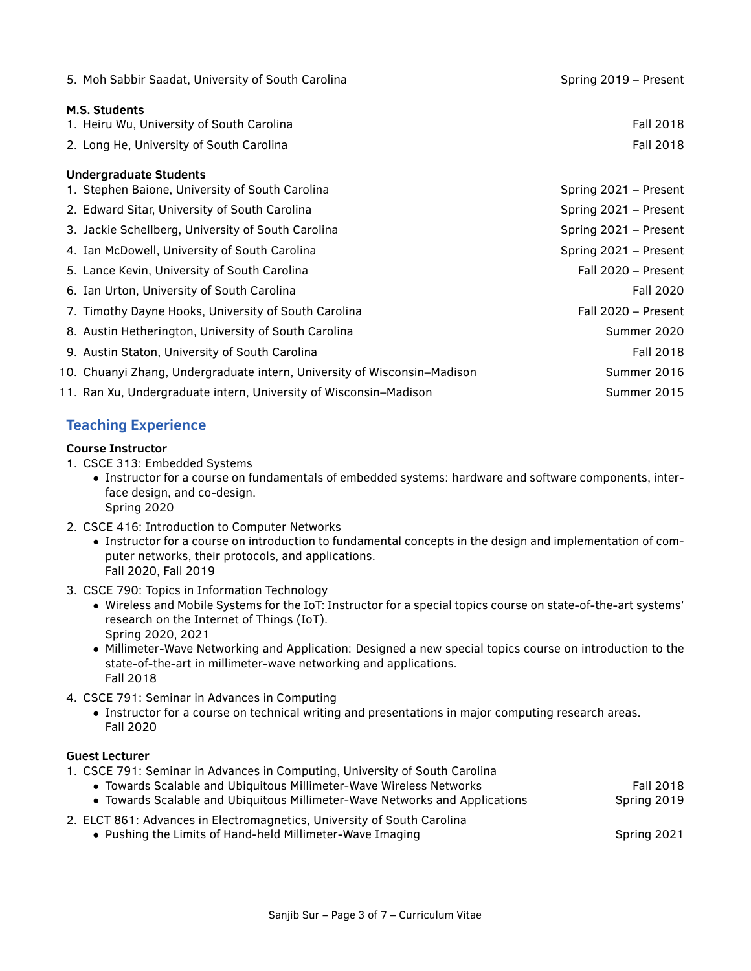| 5. Moh Sabbir Saadat, University of South Carolina                       | Spring 2019 - Present |
|--------------------------------------------------------------------------|-----------------------|
| M.S. Students                                                            |                       |
| 1. Heiru Wu, University of South Carolina                                | Fall 2018             |
| 2. Long He, University of South Carolina                                 | Fall 2018             |
| <b>Undergraduate Students</b>                                            |                       |
| 1. Stephen Baione, University of South Carolina                          | Spring 2021 – Present |
| 2. Edward Sitar, University of South Carolina                            | Spring 2021 – Present |
| 3. Jackie Schellberg, University of South Carolina                       | Spring 2021 – Present |
| 4. Ian McDowell, University of South Carolina                            | Spring 2021 - Present |
| 5. Lance Kevin, University of South Carolina                             | Fall 2020 - Present   |
| 6. Ian Urton, University of South Carolina                               | Fall 2020             |
| 7. Timothy Dayne Hooks, University of South Carolina                     | Fall 2020 - Present   |
| 8. Austin Hetherington, University of South Carolina                     | Summer 2020           |
| 9. Austin Staton, University of South Carolina                           | Fall 2018             |
| 10. Chuanyi Zhang, Undergraduate intern, University of Wisconsin–Madison | Summer 2016           |
| 11. Ran Xu, Undergraduate intern, University of Wisconsin–Madison        | Summer 2015           |

# **Teaching Experience**

#### **Course Instructor**

- 1. CSCE 313: Embedded Systems
	- Instructor for a course on fundamentals of embedded systems: hardware and software components, interface design, and co-design. Spring 2020
- 2. CSCE 416: Introduction to Computer Networks
	- Instructor for a course on introduction to fundamental concepts in the design and implementation of computer networks, their protocols, and applications. Fall 2020, Fall 2019
- 3. CSCE 790: Topics in Information Technology
	- Wireless and Mobile Systems for the IoT: Instructor for a special topics course on state-of-the-art systems' research on the Internet of Things (IoT). Spring 2020, 2021
	- Millimeter-Wave Networking and Application: Designed a new special topics course on introduction to the state-of-the-art in millimeter-wave networking and applications. Fall 2018
- 4. CSCE 791: Seminar in Advances in Computing
	- Instructor for a course on technical writing and presentations in major computing research areas. Fall 2020

#### **Guest Lecturer**

| 1. CSCE 791: Seminar in Advances in Computing, University of South Carolina |             |
|-----------------------------------------------------------------------------|-------------|
| • Towards Scalable and Ubiquitous Millimeter-Wave Wireless Networks         | Fall 2018   |
| • Towards Scalable and Ubiquitous Millimeter-Wave Networks and Applications | Spring 2019 |
| 2. ELCT 861: Advances in Electromagnetics, University of South Carolina     |             |
| • Pushing the Limits of Hand-held Millimeter-Wave Imaging                   | Spring 2021 |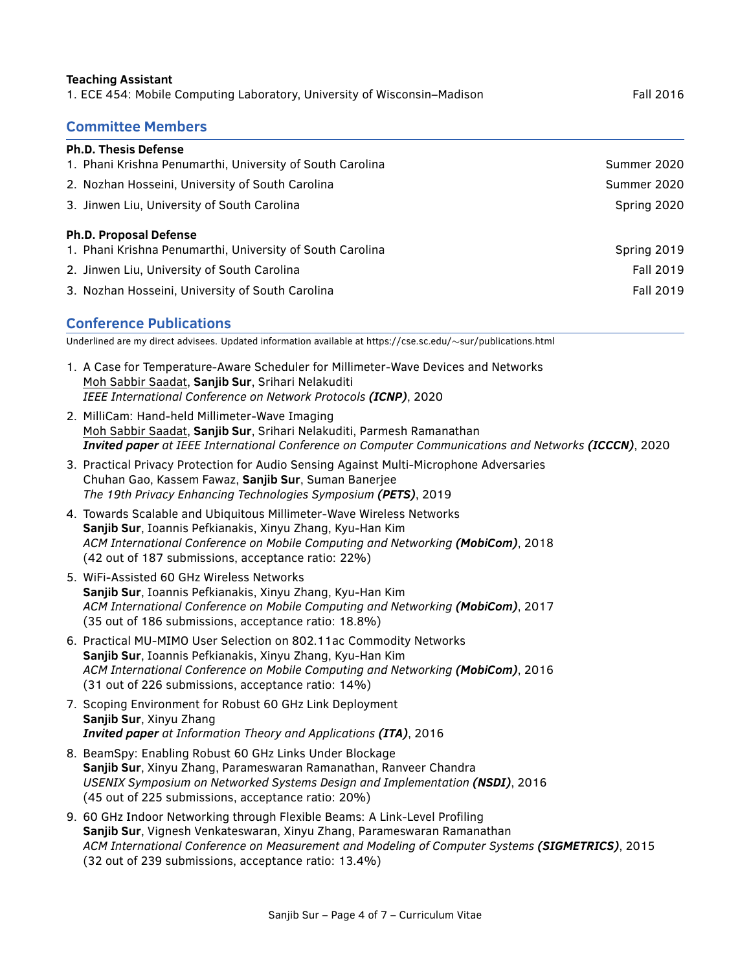# **Teaching Assistant** 1. ECE 454: Mobile Computing Laboratory, University of Wisconsin–Madison Fall 2016 **Committee Members Ph.D. Thesis Defense** 1. Phani Krishna Penumarthi, University of South Carolina Summer 2020 Summer 2020 2. Nozhan Hosseini, University of South Carolina Summer 2020 Summer 2020 3. Jinwen Liu, University of South Carolina Spring 2020 Spring 2020 **Ph.D. Proposal Defense** 1. Phani Krishna Penumarthi, University of South Carolina Spring Communication of Spring 2019 2. Jinwen Liu, University of South Carolina Fall 2019 and South Carolina Fall 2019

3. Nozhan Hosseini, University of South Carolina Fall 2019 and South Carolina Fall 2019

## **Conference Publications**

Underlined are my direct advisees. Updated information available at https://cse.sc.edu/∼sur/publications.html

- 1. A Case for Temperature-Aware Scheduler for Millimeter-Wave Devices and Networks Moh Sabbir Saadat, **Sanjib Sur**, Srihari Nelakuditi *IEEE International Conference on Network Protocols (ICNP)*, 2020
- 2. MilliCam: Hand-held Millimeter-Wave Imaging Moh Sabbir Saadat, **Sanjib Sur**, Srihari Nelakuditi, Parmesh Ramanathan *Invited paper at IEEE International Conference on Computer Communications and Networks (ICCCN)*, 2020
- 3. Practical Privacy Protection for Audio Sensing Against Multi-Microphone Adversaries Chuhan Gao, Kassem Fawaz, **Sanjib Sur**, Suman Banerjee *The 19th Privacy Enhancing Technologies Symposium (PETS)*, 2019
- 4. Towards Scalable and Ubiquitous Millimeter-Wave Wireless Networks **Sanjib Sur**, Ioannis Pefkianakis, Xinyu Zhang, Kyu-Han Kim *ACM International Conference on Mobile Computing and Networking (MobiCom)*, 2018 (42 out of 187 submissions, acceptance ratio: 22%)
- 5. WiFi-Assisted 60 GHz Wireless Networks **Sanjib Sur**, Ioannis Pefkianakis, Xinyu Zhang, Kyu-Han Kim *ACM International Conference on Mobile Computing and Networking (MobiCom)*, 2017 (35 out of 186 submissions, acceptance ratio: 18.8%)
- 6. Practical MU-MIMO User Selection on 802.11ac Commodity Networks **Sanjib Sur**, Ioannis Pefkianakis, Xinyu Zhang, Kyu-Han Kim *ACM International Conference on Mobile Computing and Networking (MobiCom)*, 2016 (31 out of 226 submissions, acceptance ratio: 14%)
- 7. Scoping Environment for Robust 60 GHz Link Deployment **Sanjib Sur**, Xinyu Zhang *Invited paper at Information Theory and Applications (ITA)*, 2016
- 8. BeamSpy: Enabling Robust 60 GHz Links Under Blockage **Sanjib Sur**, Xinyu Zhang, Parameswaran Ramanathan, Ranveer Chandra *USENIX Symposium on Networked Systems Design and Implementation (NSDI)*, 2016 (45 out of 225 submissions, acceptance ratio: 20%)
- 9. 60 GHz Indoor Networking through Flexible Beams: A Link-Level Profiling **Sanjib Sur**, Vignesh Venkateswaran, Xinyu Zhang, Parameswaran Ramanathan *ACM International Conference on Measurement and Modeling of Computer Systems (SIGMETRICS)*, 2015 (32 out of 239 submissions, acceptance ratio: 13.4%)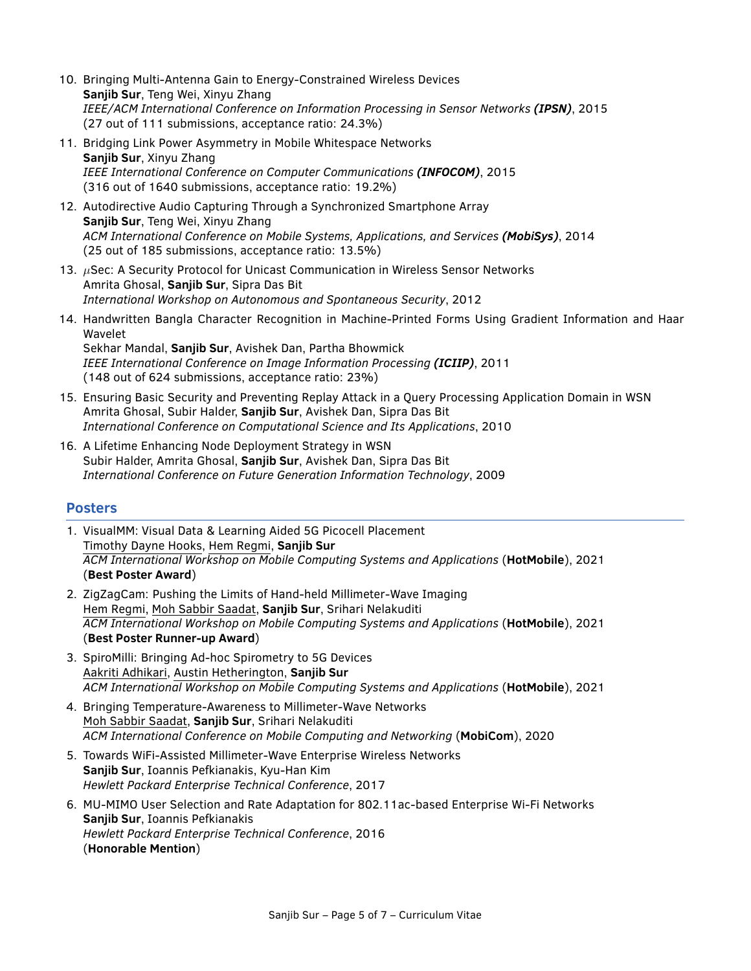- 10. Bringing Multi-Antenna Gain to Energy-Constrained Wireless Devices **Sanjib Sur**, Teng Wei, Xinyu Zhang *IEEE/ACM International Conference on Information Processing in Sensor Networks (IPSN)*, 2015 (27 out of 111 submissions, acceptance ratio: 24.3%)
- 11. Bridging Link Power Asymmetry in Mobile Whitespace Networks **Sanjib Sur**, Xinyu Zhang *IEEE International Conference on Computer Communications (INFOCOM)*, 2015 (316 out of 1640 submissions, acceptance ratio: 19.2%)
- 12. Autodirective Audio Capturing Through a Synchronized Smartphone Array **Sanjib Sur**, Teng Wei, Xinyu Zhang *ACM International Conference on Mobile Systems, Applications, and Services (MobiSys)*, 2014 (25 out of 185 submissions, acceptance ratio: 13.5%)
- 13.  $\mu$ Sec: A Security Protocol for Unicast Communication in Wireless Sensor Networks Amrita Ghosal, **Sanjib Sur**, Sipra Das Bit *International Workshop on Autonomous and Spontaneous Security*, 2012
- 14. Handwritten Bangla Character Recognition in Machine-Printed Forms Using Gradient Information and Haar Wavelet Sekhar Mandal, **Sanjib Sur**, Avishek Dan, Partha Bhowmick *IEEE International Conference on Image Information Processing (ICIIP)*, 2011
	- (148 out of 624 submissions, acceptance ratio: 23%)
- 15. Ensuring Basic Security and Preventing Replay Attack in a Query Processing Application Domain in WSN Amrita Ghosal, Subir Halder, **Sanjib Sur**, Avishek Dan, Sipra Das Bit *International Conference on Computational Science and Its Applications*, 2010
- 16. A Lifetime Enhancing Node Deployment Strategy in WSN Subir Halder, Amrita Ghosal, **Sanjib Sur**, Avishek Dan, Sipra Das Bit *International Conference on Future Generation Information Technology*, 2009

#### **Posters**

- 1. VisualMM: Visual Data & Learning Aided 5G Picocell Placement Timothy Dayne Hooks, Hem Regmi, **Sanjib Sur** *ACM International Workshop on Mobile Computing Systems and Applications* (**HotMobile**), 2021 (**Best Poster Award**)
- 2. ZigZagCam: Pushing the Limits of Hand-held Millimeter-Wave Imaging Hem Regmi, Moh Sabbir Saadat, **Sanjib Sur**, Srihari Nelakuditi *ACM International Workshop on Mobile Computing Systems and Applications* (**HotMobile**), 2021 (**Best Poster Runner-up Award**)
- 3. SpiroMilli: Bringing Ad-hoc Spirometry to 5G Devices Aakriti Adhikari, Austin Hetherington, **Sanjib Sur** *ACM International Workshop on Mobile Computing Systems and Applications* (**HotMobile**), 2021
- 4. Bringing Temperature-Awareness to Millimeter-Wave Networks Moh Sabbir Saadat, **Sanjib Sur**, Srihari Nelakuditi *ACM International Conference on Mobile Computing and Networking* (**MobiCom**), 2020
- 5. Towards WiFi-Assisted Millimeter-Wave Enterprise Wireless Networks **Sanjib Sur**, Ioannis Pefkianakis, Kyu-Han Kim *Hewlett Packard Enterprise Technical Conference*, 2017
- 6. MU-MIMO User Selection and Rate Adaptation for 802.11ac-based Enterprise Wi-Fi Networks **Sanjib Sur**, Ioannis Pefkianakis *Hewlett Packard Enterprise Technical Conference*, 2016 (**Honorable Mention**)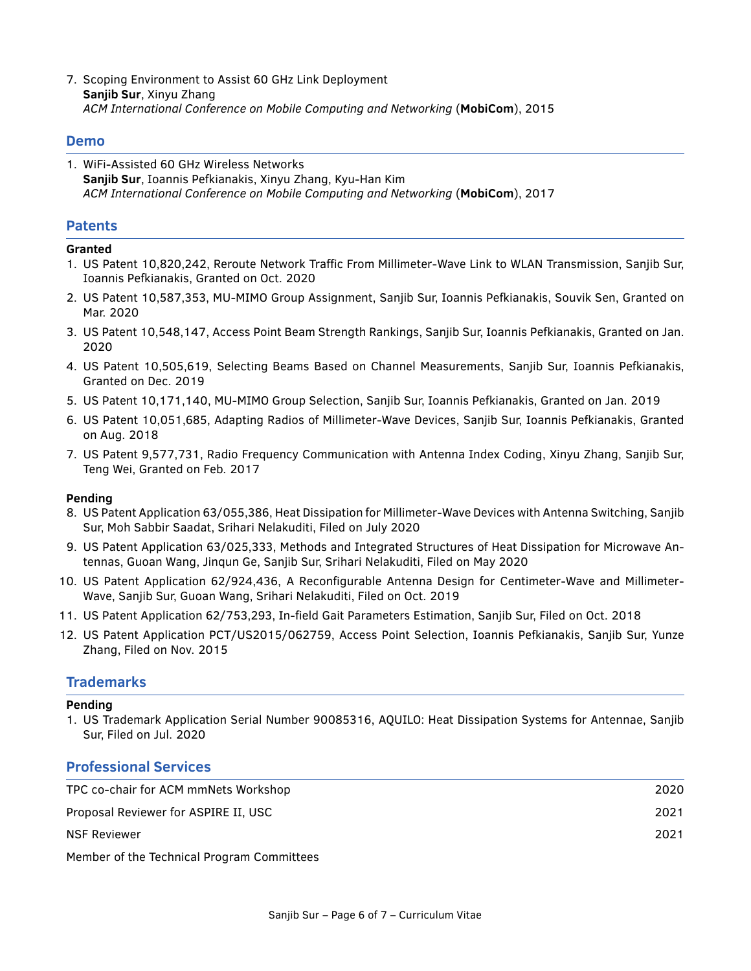7. Scoping Environment to Assist 60 GHz Link Deployment **Sanjib Sur**, Xinyu Zhang *ACM International Conference on Mobile Computing and Networking* (**MobiCom**), 2015

#### **Demo**

1. WiFi-Assisted 60 GHz Wireless Networks **Sanjib Sur**, Ioannis Pefkianakis, Xinyu Zhang, Kyu-Han Kim *ACM International Conference on Mobile Computing and Networking* (**MobiCom**), 2017

#### **Patents**

#### **Granted**

- 1. US Patent 10,820,242, Reroute Network Traffic From Millimeter-Wave Link to WLAN Transmission, Sanjib Sur, Ioannis Pefkianakis, Granted on Oct. 2020
- 2. US Patent 10,587,353, MU-MIMO Group Assignment, Sanjib Sur, Ioannis Pefkianakis, Souvik Sen, Granted on Mar. 2020
- 3. US Patent 10,548,147, Access Point Beam Strength Rankings, Sanjib Sur, Ioannis Pefkianakis, Granted on Jan. 2020
- 4. US Patent 10,505,619, Selecting Beams Based on Channel Measurements, Sanjib Sur, Ioannis Pefkianakis, Granted on Dec. 2019
- 5. US Patent 10,171,140, MU-MIMO Group Selection, Sanjib Sur, Ioannis Pefkianakis, Granted on Jan. 2019
- 6. US Patent 10,051,685, Adapting Radios of Millimeter-Wave Devices, Sanjib Sur, Ioannis Pefkianakis, Granted on Aug. 2018
- 7. US Patent 9,577,731, Radio Frequency Communication with Antenna Index Coding, Xinyu Zhang, Sanjib Sur, Teng Wei, Granted on Feb. 2017

#### **Pending**

- 8. US Patent Application 63/055,386, Heat Dissipation for Millimeter-Wave Devices with Antenna Switching, Sanjib Sur, Moh Sabbir Saadat, Srihari Nelakuditi, Filed on July 2020
- 9. US Patent Application 63/025,333, Methods and Integrated Structures of Heat Dissipation for Microwave Antennas, Guoan Wang, Jinqun Ge, Sanjib Sur, Srihari Nelakuditi, Filed on May 2020
- 10. US Patent Application 62/924,436, A Reconfigurable Antenna Design for Centimeter-Wave and Millimeter-Wave, Sanjib Sur, Guoan Wang, Srihari Nelakuditi, Filed on Oct. 2019
- 11. US Patent Application 62/753,293, In-field Gait Parameters Estimation, Sanjib Sur, Filed on Oct. 2018
- 12. US Patent Application PCT/US2015/062759, Access Point Selection, Ioannis Pefkianakis, Sanjib Sur, Yunze Zhang, Filed on Nov. 2015

#### **Trademarks**

#### **Pending**

1. US Trademark Application Serial Number 90085316, AQUILO: Heat Dissipation Systems for Antennae, Sanjib Sur, Filed on Jul. 2020

#### **Professional Services**

| TPC co-chair for ACM mmNets Workshop                                                                                                                                                                                                                                                                                   | 2020 |
|------------------------------------------------------------------------------------------------------------------------------------------------------------------------------------------------------------------------------------------------------------------------------------------------------------------------|------|
| Proposal Reviewer for ASPIRE II, USC                                                                                                                                                                                                                                                                                   | 2021 |
| <b>NSF Reviewer</b>                                                                                                                                                                                                                                                                                                    | 2021 |
| $M = 1$ $\frac{1}{2}$ $\frac{1}{2}$ $\frac{1}{2}$ $\frac{1}{2}$ $\frac{1}{2}$ $\frac{1}{2}$ $\frac{1}{2}$ $\frac{1}{2}$ $\frac{1}{2}$ $\frac{1}{2}$ $\frac{1}{2}$ $\frac{1}{2}$ $\frac{1}{2}$ $\frac{1}{2}$ $\frac{1}{2}$ $\frac{1}{2}$ $\frac{1}{2}$ $\frac{1}{2}$ $\frac{1}{2}$ $\frac{1}{2}$ $\frac{1}{2}$ $\frac{$ |      |

Member of the Technical Program Committees